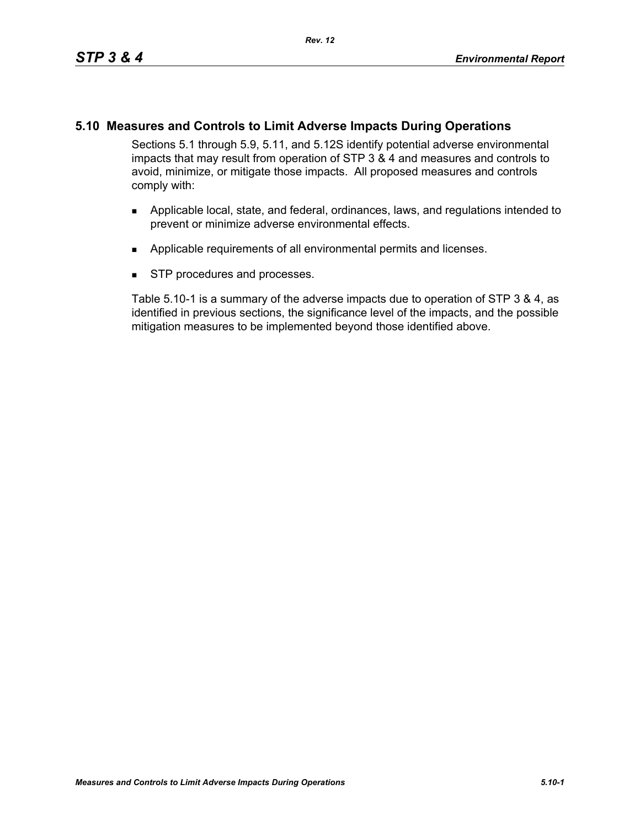# **5.10 Measures and Controls to Limit Adverse Impacts During Operations**

Sections 5.1 through 5.9, 5.11, and 5.12S identify potential adverse environmental impacts that may result from operation of STP 3 & 4 and measures and controls to avoid, minimize, or mitigate those impacts. All proposed measures and controls comply with:

- **Applicable local, state, and federal, ordinances, laws, and regulations intended to** prevent or minimize adverse environmental effects.
- **Applicable requirements of all environmental permits and licenses.**
- **STP** procedures and processes.

Table 5.10-1 is a summary of the adverse impacts due to operation of STP 3 & 4, as identified in previous sections, the significance level of the impacts, and the possible mitigation measures to be implemented beyond those identified above.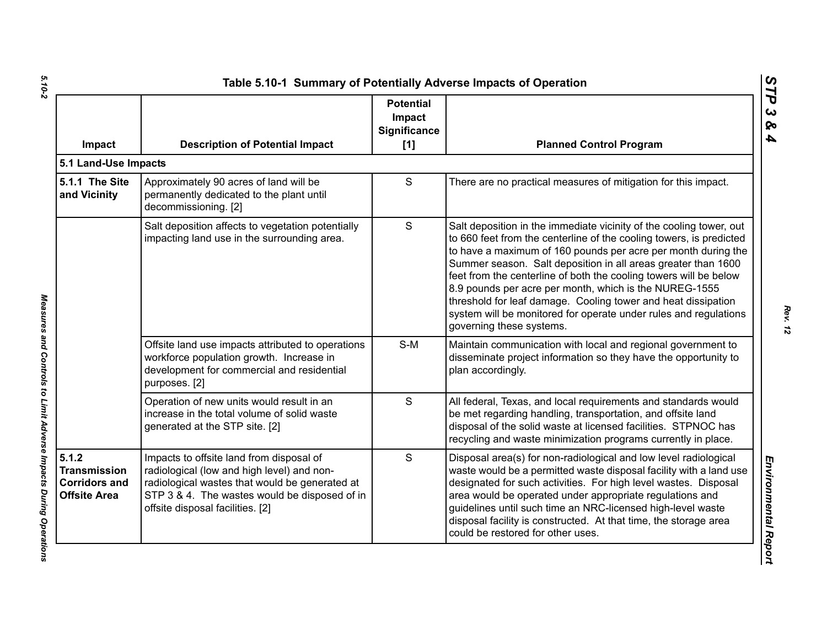| Impact                                                                      | <b>Description of Potential Impact</b>                                                                                                                                                                                        | <b>Potential</b><br>Impact<br>Significance<br>[1] | <b>Planned Control Program</b>                                                                                                                                                                                                                                                                                                                                                                                                                                                                                                                                               |
|-----------------------------------------------------------------------------|-------------------------------------------------------------------------------------------------------------------------------------------------------------------------------------------------------------------------------|---------------------------------------------------|------------------------------------------------------------------------------------------------------------------------------------------------------------------------------------------------------------------------------------------------------------------------------------------------------------------------------------------------------------------------------------------------------------------------------------------------------------------------------------------------------------------------------------------------------------------------------|
| 5.1 Land-Use Impacts                                                        |                                                                                                                                                                                                                               |                                                   |                                                                                                                                                                                                                                                                                                                                                                                                                                                                                                                                                                              |
| 5.1.1 The Site<br>and Vicinity                                              | Approximately 90 acres of land will be<br>permanently dedicated to the plant until<br>decommissioning. [2]                                                                                                                    | S                                                 | There are no practical measures of mitigation for this impact.                                                                                                                                                                                                                                                                                                                                                                                                                                                                                                               |
|                                                                             | Salt deposition affects to vegetation potentially<br>impacting land use in the surrounding area.                                                                                                                              | S                                                 | Salt deposition in the immediate vicinity of the cooling tower, out<br>to 660 feet from the centerline of the cooling towers, is predicted<br>to have a maximum of 160 pounds per acre per month during the<br>Summer season. Salt deposition in all areas greater than 1600<br>feet from the centerline of both the cooling towers will be below<br>8.9 pounds per acre per month, which is the NUREG-1555<br>threshold for leaf damage. Cooling tower and heat dissipation<br>system will be monitored for operate under rules and regulations<br>governing these systems. |
|                                                                             | Offsite land use impacts attributed to operations<br>workforce population growth. Increase in<br>development for commercial and residential<br>purposes. [2]                                                                  | $S-M$                                             | Maintain communication with local and regional government to<br>disseminate project information so they have the opportunity to<br>plan accordingly.                                                                                                                                                                                                                                                                                                                                                                                                                         |
|                                                                             | Operation of new units would result in an<br>increase in the total volume of solid waste<br>generated at the STP site. [2]                                                                                                    | S                                                 | All federal, Texas, and local requirements and standards would<br>be met regarding handling, transportation, and offsite land<br>disposal of the solid waste at licensed facilities. STPNOC has<br>recycling and waste minimization programs currently in place.                                                                                                                                                                                                                                                                                                             |
| 5.1.2<br><b>Transmission</b><br><b>Corridors and</b><br><b>Offsite Area</b> | Impacts to offsite land from disposal of<br>radiological (low and high level) and non-<br>radiological wastes that would be generated at<br>STP 3 & 4. The wastes would be disposed of in<br>offsite disposal facilities. [2] | S                                                 | Disposal area(s) for non-radiological and low level radiological<br>waste would be a permitted waste disposal facility with a land use<br>designated for such activities. For high level wastes. Disposal<br>area would be operated under appropriate regulations and<br>guidelines until such time an NRC-licensed high-level waste<br>disposal facility is constructed. At that time, the storage area<br>could be restored for other uses.                                                                                                                                |

Measures and Controls to Limit Adverse Impacts During Operations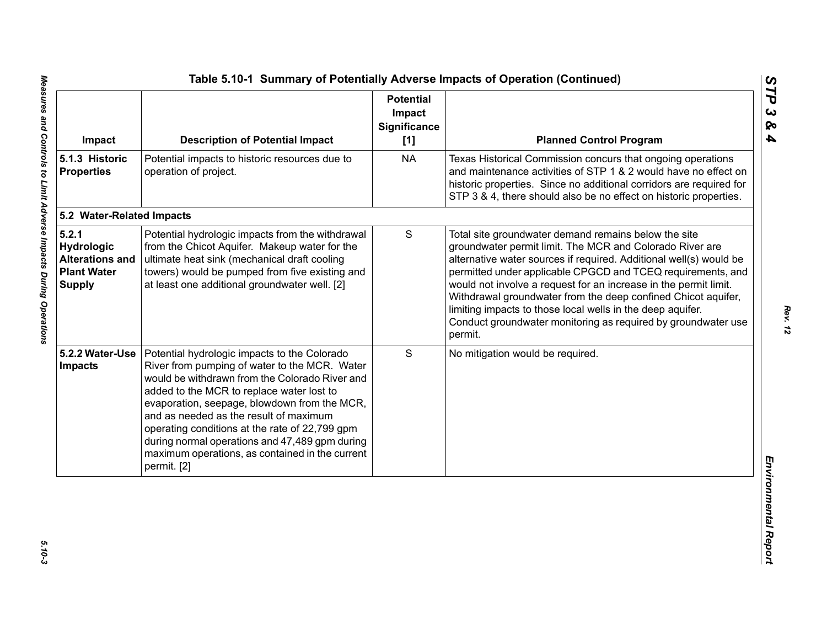| Impact                                                                               | <b>Description of Potential Impact</b>                                                                                                                                                                                                                                                                                                                                                                                                                       | <b>Potential</b><br>Impact<br>Significance<br>[1] | <b>Planned Control Program</b>                                                                                                                                                                                                                                                                                                                                                                                                                                                                                                       |
|--------------------------------------------------------------------------------------|--------------------------------------------------------------------------------------------------------------------------------------------------------------------------------------------------------------------------------------------------------------------------------------------------------------------------------------------------------------------------------------------------------------------------------------------------------------|---------------------------------------------------|--------------------------------------------------------------------------------------------------------------------------------------------------------------------------------------------------------------------------------------------------------------------------------------------------------------------------------------------------------------------------------------------------------------------------------------------------------------------------------------------------------------------------------------|
| 5.1.3 Historic<br><b>Properties</b>                                                  | Potential impacts to historic resources due to<br>operation of project.                                                                                                                                                                                                                                                                                                                                                                                      | <b>NA</b>                                         | Texas Historical Commission concurs that ongoing operations<br>and maintenance activities of STP 1 & 2 would have no effect on<br>historic properties. Since no additional corridors are required for<br>STP 3 & 4, there should also be no effect on historic properties.                                                                                                                                                                                                                                                           |
| 5.2 Water-Related Impacts                                                            |                                                                                                                                                                                                                                                                                                                                                                                                                                                              |                                                   |                                                                                                                                                                                                                                                                                                                                                                                                                                                                                                                                      |
| 5.2.1<br>Hydrologic<br><b>Alterations and</b><br><b>Plant Water</b><br><b>Supply</b> | Potential hydrologic impacts from the withdrawal<br>from the Chicot Aquifer. Makeup water for the<br>ultimate heat sink (mechanical draft cooling<br>towers) would be pumped from five existing and<br>at least one additional groundwater well. [2]                                                                                                                                                                                                         | S                                                 | Total site groundwater demand remains below the site<br>groundwater permit limit. The MCR and Colorado River are<br>alternative water sources if required. Additional well(s) would be<br>permitted under applicable CPGCD and TCEQ requirements, and<br>would not involve a request for an increase in the permit limit.<br>Withdrawal groundwater from the deep confined Chicot aquifer,<br>limiting impacts to those local wells in the deep aquifer.<br>Conduct groundwater monitoring as required by groundwater use<br>permit. |
| 5.2.2 Water-Use<br>Impacts                                                           | Potential hydrologic impacts to the Colorado<br>River from pumping of water to the MCR. Water<br>would be withdrawn from the Colorado River and<br>added to the MCR to replace water lost to<br>evaporation, seepage, blowdown from the MCR,<br>and as needed as the result of maximum<br>operating conditions at the rate of 22,799 gpm<br>during normal operations and 47,489 gpm during<br>maximum operations, as contained in the current<br>permit. [2] | S                                                 | No mitigation would be required.                                                                                                                                                                                                                                                                                                                                                                                                                                                                                                     |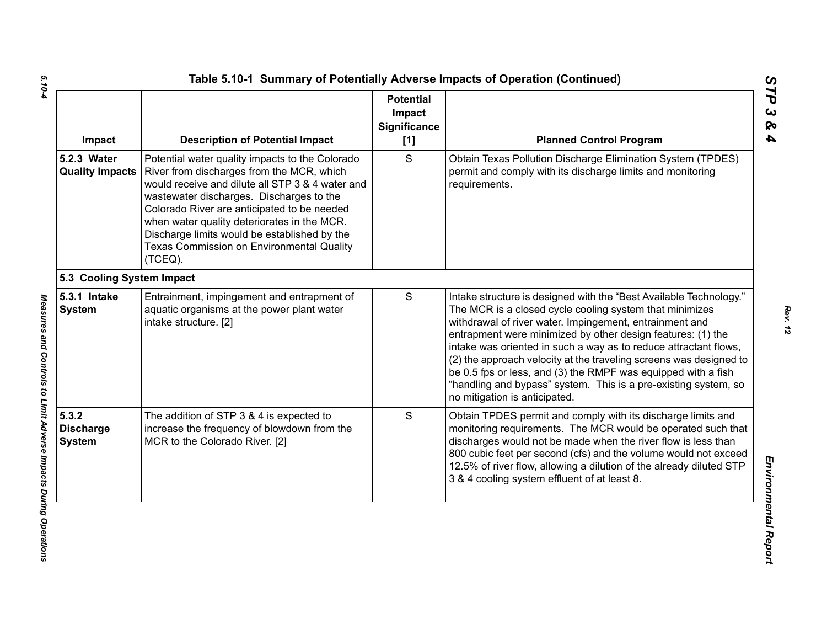| Impact                                     | <b>Description of Potential Impact</b>                                                                                                                                                                                                                                                                                                                                                             | <b>Potential</b><br>Impact<br>Significance<br>$[1]$ | <b>Planned Control Program</b>                                                                                                                                                                                                                                                                                                                                                                                                                                                                                                                                         |
|--------------------------------------------|----------------------------------------------------------------------------------------------------------------------------------------------------------------------------------------------------------------------------------------------------------------------------------------------------------------------------------------------------------------------------------------------------|-----------------------------------------------------|------------------------------------------------------------------------------------------------------------------------------------------------------------------------------------------------------------------------------------------------------------------------------------------------------------------------------------------------------------------------------------------------------------------------------------------------------------------------------------------------------------------------------------------------------------------------|
| 5.2.3 Water<br><b>Quality Impacts</b>      | Potential water quality impacts to the Colorado<br>River from discharges from the MCR, which<br>would receive and dilute all STP 3 & 4 water and<br>wastewater discharges. Discharges to the<br>Colorado River are anticipated to be needed<br>when water quality deteriorates in the MCR.<br>Discharge limits would be established by the<br>Texas Commission on Environmental Quality<br>(TCEQ). | S                                                   | Obtain Texas Pollution Discharge Elimination System (TPDES)<br>permit and comply with its discharge limits and monitoring<br>requirements.                                                                                                                                                                                                                                                                                                                                                                                                                             |
| 5.3 Cooling System Impact                  |                                                                                                                                                                                                                                                                                                                                                                                                    |                                                     |                                                                                                                                                                                                                                                                                                                                                                                                                                                                                                                                                                        |
| 5.3.1 Intake<br><b>System</b>              | Entrainment, impingement and entrapment of<br>aquatic organisms at the power plant water<br>intake structure. [2]                                                                                                                                                                                                                                                                                  | S                                                   | Intake structure is designed with the "Best Available Technology."<br>The MCR is a closed cycle cooling system that minimizes<br>withdrawal of river water. Impingement, entrainment and<br>entrapment were minimized by other design features: (1) the<br>intake was oriented in such a way as to reduce attractant flows,<br>(2) the approach velocity at the traveling screens was designed to<br>be 0.5 fps or less, and (3) the RMPF was equipped with a fish<br>"handling and bypass" system. This is a pre-existing system, so<br>no mitigation is anticipated. |
| 5.3.2<br><b>Discharge</b><br><b>System</b> | The addition of STP 3 & 4 is expected to<br>increase the frequency of blowdown from the<br>MCR to the Colorado River. [2]                                                                                                                                                                                                                                                                          | S                                                   | Obtain TPDES permit and comply with its discharge limits and<br>monitoring requirements. The MCR would be operated such that<br>discharges would not be made when the river flow is less than<br>800 cubic feet per second (cfs) and the volume would not exceed<br>12.5% of river flow, allowing a dilution of the already diluted STP<br>3 & 4 cooling system effluent of at least 8.                                                                                                                                                                                |

*STP 3 & 4*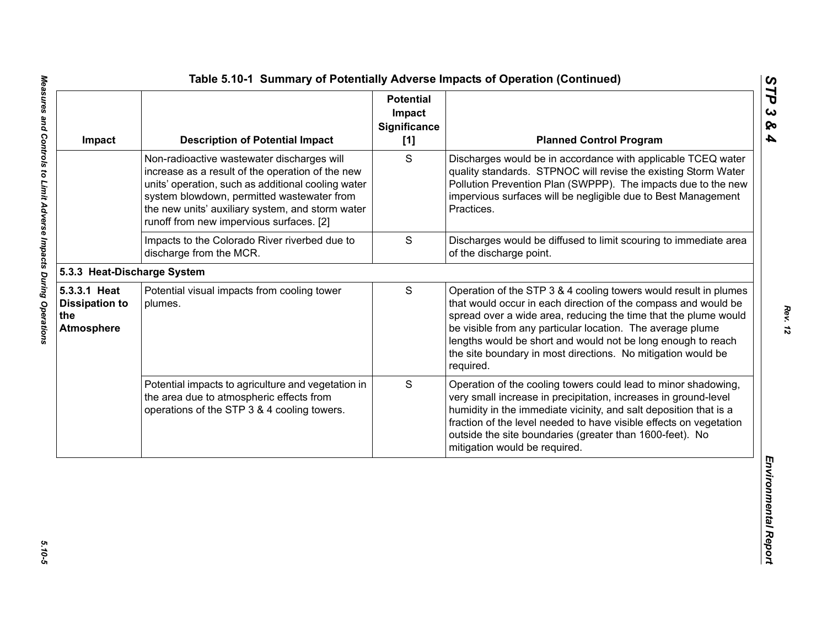| Impact                                                            | <b>Description of Potential Impact</b>                                                                                                                                                                                                                                                             | <b>Potential</b><br>Impact<br><b>Significance</b><br>[1] | <b>Planned Control Program</b>                                                                                                                                                                                                                                                                                                                                                                                   |
|-------------------------------------------------------------------|----------------------------------------------------------------------------------------------------------------------------------------------------------------------------------------------------------------------------------------------------------------------------------------------------|----------------------------------------------------------|------------------------------------------------------------------------------------------------------------------------------------------------------------------------------------------------------------------------------------------------------------------------------------------------------------------------------------------------------------------------------------------------------------------|
|                                                                   | Non-radioactive wastewater discharges will<br>increase as a result of the operation of the new<br>units' operation, such as additional cooling water<br>system blowdown, permitted wastewater from<br>the new units' auxiliary system, and storm water<br>runoff from new impervious surfaces. [2] | S                                                        | Discharges would be in accordance with applicable TCEQ water<br>quality standards. STPNOC will revise the existing Storm Water<br>Pollution Prevention Plan (SWPPP). The impacts due to the new<br>impervious surfaces will be negligible due to Best Management<br>Practices.                                                                                                                                   |
|                                                                   | Impacts to the Colorado River riverbed due to<br>discharge from the MCR.                                                                                                                                                                                                                           | $\mathbf S$                                              | Discharges would be diffused to limit scouring to immediate area<br>of the discharge point.                                                                                                                                                                                                                                                                                                                      |
| 5.3.3 Heat-Discharge System                                       |                                                                                                                                                                                                                                                                                                    |                                                          |                                                                                                                                                                                                                                                                                                                                                                                                                  |
| 5.3.3.1 Heat<br><b>Dissipation to</b><br>the<br><b>Atmosphere</b> | Potential visual impacts from cooling tower<br>plumes.                                                                                                                                                                                                                                             | S                                                        | Operation of the STP 3 & 4 cooling towers would result in plumes<br>that would occur in each direction of the compass and would be<br>spread over a wide area, reducing the time that the plume would<br>be visible from any particular location. The average plume<br>lengths would be short and would not be long enough to reach<br>the site boundary in most directions. No mitigation would be<br>required. |
|                                                                   | Potential impacts to agriculture and vegetation in<br>the area due to atmospheric effects from<br>operations of the STP 3 & 4 cooling towers.                                                                                                                                                      | S                                                        | Operation of the cooling towers could lead to minor shadowing,<br>very small increase in precipitation, increases in ground-level<br>humidity in the immediate vicinity, and salt deposition that is a<br>fraction of the level needed to have visible effects on vegetation<br>outside the site boundaries (greater than 1600-feet). No<br>mitigation would be required.                                        |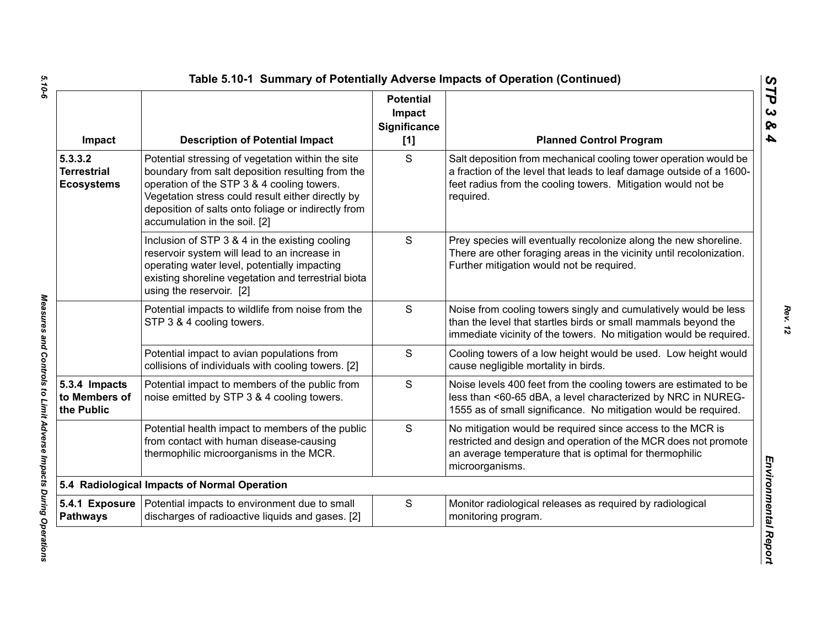| Impact                                             | <b>Description of Potential Impact</b>                                                                                                                                                                                                                                                           | <b>Potential</b><br>Impact<br>Significance<br>$[1]$ | <b>Planned Control Program</b>                                                                                                                                                                                        |
|----------------------------------------------------|--------------------------------------------------------------------------------------------------------------------------------------------------------------------------------------------------------------------------------------------------------------------------------------------------|-----------------------------------------------------|-----------------------------------------------------------------------------------------------------------------------------------------------------------------------------------------------------------------------|
| 5.3.3.2<br><b>Terrestrial</b><br><b>Ecosystems</b> | Potential stressing of vegetation within the site<br>boundary from salt deposition resulting from the<br>operation of the STP 3 & 4 cooling towers.<br>Vegetation stress could result either directly by<br>deposition of salts onto foliage or indirectly from<br>accumulation in the soil. [2] | S                                                   | Salt deposition from mechanical cooling tower operation would be<br>a fraction of the level that leads to leaf damage outside of a 1600-<br>feet radius from the cooling towers. Mitigation would not be<br>required. |
|                                                    | Inclusion of STP 3 & 4 in the existing cooling<br>reservoir system will lead to an increase in<br>operating water level, potentially impacting<br>existing shoreline vegetation and terrestrial biota<br>using the reservoir. [2]                                                                | S                                                   | Prey species will eventually recolonize along the new shoreline.<br>There are other foraging areas in the vicinity until recolonization.<br>Further mitigation would not be required.                                 |
|                                                    | Potential impacts to wildlife from noise from the<br>STP 3 & 4 cooling towers.                                                                                                                                                                                                                   | $\mathbf S$                                         | Noise from cooling towers singly and cumulatively would be less<br>than the level that startles birds or small mammals beyond the<br>immediate vicinity of the towers. No mitigation would be required.               |
|                                                    | Potential impact to avian populations from<br>collisions of individuals with cooling towers. [2]                                                                                                                                                                                                 | S                                                   | Cooling towers of a low height would be used. Low height would<br>cause negligible mortality in birds.                                                                                                                |
| 5.3.4 Impacts<br>to Members of<br>the Public       | Potential impact to members of the public from<br>noise emitted by STP 3 & 4 cooling towers.                                                                                                                                                                                                     | S                                                   | Noise levels 400 feet from the cooling towers are estimated to be<br>less than <60-65 dBA, a level characterized by NRC in NUREG-<br>1555 as of small significance. No mitigation would be required.                  |
|                                                    | Potential health impact to members of the public<br>from contact with human disease-causing<br>thermophilic microorganisms in the MCR.                                                                                                                                                           | S                                                   | No mitigation would be required since access to the MCR is<br>restricted and design and operation of the MCR does not promote<br>an average temperature that is optimal for thermophilic<br>microorganisms.           |
|                                                    | 5.4 Radiological Impacts of Normal Operation                                                                                                                                                                                                                                                     |                                                     |                                                                                                                                                                                                                       |
| 5.4.1 Exposure<br><b>Pathways</b>                  | Potential impacts to environment due to small<br>discharges of radioactive liquids and gases. [2]                                                                                                                                                                                                | S                                                   | Monitor radiological releases as required by radiological<br>monitoring program.                                                                                                                                      |

Measures and Controls to Limit Adverse Impacts During Operations

*STP 3 & 4*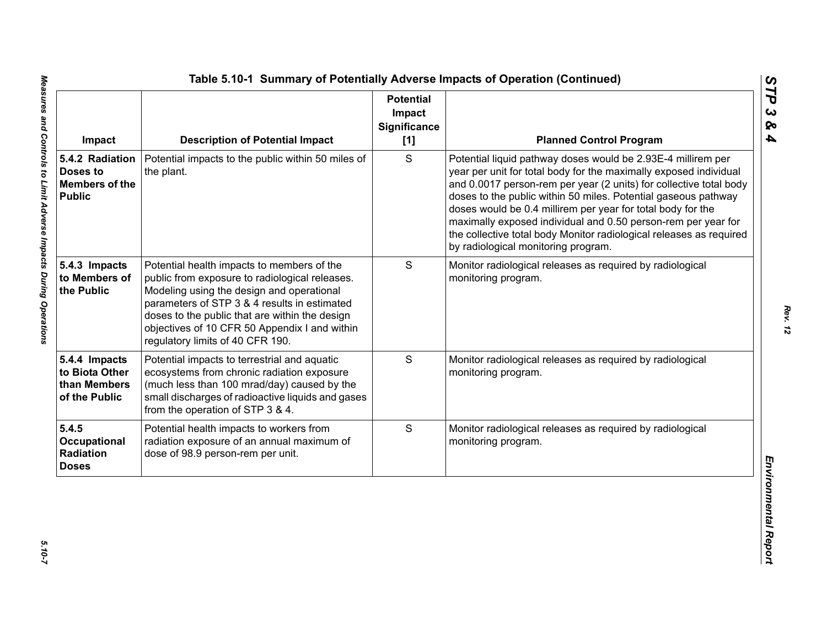| Impact                                                                | <b>Description of Potential Impact</b>                                                                                                                                                                                                                                                                                           | <b>Potential</b><br>Impact<br>Significance<br>[1] | <b>Planned Control Program</b>                                                                                                                                                                                                                                                                                                                                                                                                                                                                                          |
|-----------------------------------------------------------------------|----------------------------------------------------------------------------------------------------------------------------------------------------------------------------------------------------------------------------------------------------------------------------------------------------------------------------------|---------------------------------------------------|-------------------------------------------------------------------------------------------------------------------------------------------------------------------------------------------------------------------------------------------------------------------------------------------------------------------------------------------------------------------------------------------------------------------------------------------------------------------------------------------------------------------------|
| 5.4.2 Radiation<br>Doses to<br><b>Members of the</b><br><b>Public</b> | Potential impacts to the public within 50 miles of<br>the plant.                                                                                                                                                                                                                                                                 | S                                                 | Potential liquid pathway doses would be 2.93E-4 millirem per<br>year per unit for total body for the maximally exposed individual<br>and 0.0017 person-rem per year (2 units) for collective total body<br>doses to the public within 50 miles. Potential gaseous pathway<br>doses would be 0.4 millirem per year for total body for the<br>maximally exposed individual and 0.50 person-rem per year for<br>the collective total body Monitor radiological releases as required<br>by radiological monitoring program. |
| 5.4.3 Impacts<br>to Members of<br>the Public                          | Potential health impacts to members of the<br>public from exposure to radiological releases.<br>Modeling using the design and operational<br>parameters of STP 3 & 4 results in estimated<br>doses to the public that are within the design<br>objectives of 10 CFR 50 Appendix I and within<br>regulatory limits of 40 CFR 190. | S                                                 | Monitor radiological releases as required by radiological<br>monitoring program.                                                                                                                                                                                                                                                                                                                                                                                                                                        |
| 5.4.4 Impacts<br>to Biota Other<br>than Members<br>of the Public      | Potential impacts to terrestrial and aquatic<br>ecosystems from chronic radiation exposure<br>(much less than 100 mrad/day) caused by the<br>small discharges of radioactive liquids and gases<br>from the operation of STP 3 & 4.                                                                                               | S                                                 | Monitor radiological releases as required by radiological<br>monitoring program.                                                                                                                                                                                                                                                                                                                                                                                                                                        |
| 5.4.5<br>Occupational<br>Radiation<br><b>Doses</b>                    | Potential health impacts to workers from<br>radiation exposure of an annual maximum of<br>dose of 98.9 person-rem per unit.                                                                                                                                                                                                      | S                                                 | Monitor radiological releases as required by radiological<br>monitoring program.                                                                                                                                                                                                                                                                                                                                                                                                                                        |

*STP 3 & 4*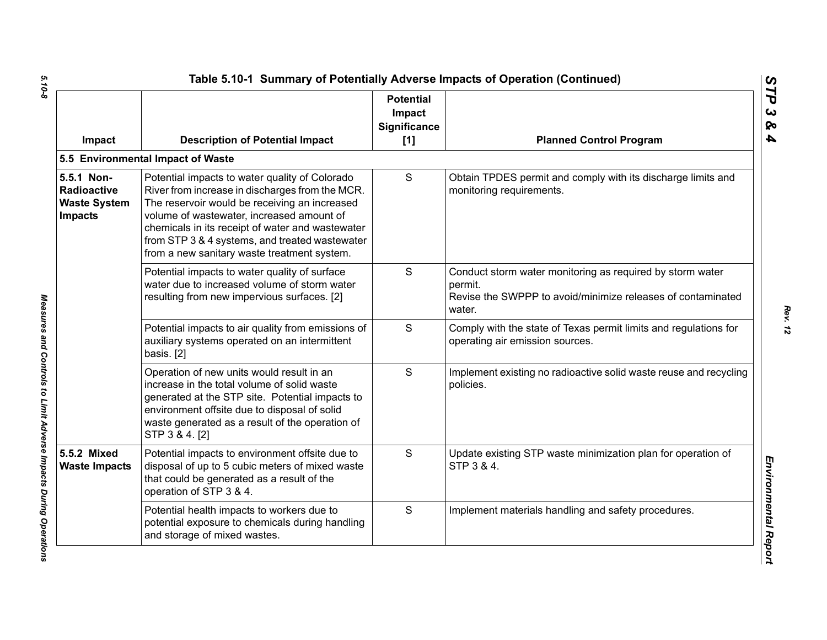| Impact                                                                    | <b>Description of Potential Impact</b>                                                                                                                                                                                                                                                                                                               | <b>Potential</b><br>Impact<br>Significance<br>[1] | <b>Planned Control Program</b>                                                                                                                |
|---------------------------------------------------------------------------|------------------------------------------------------------------------------------------------------------------------------------------------------------------------------------------------------------------------------------------------------------------------------------------------------------------------------------------------------|---------------------------------------------------|-----------------------------------------------------------------------------------------------------------------------------------------------|
|                                                                           | 5.5 Environmental Impact of Waste                                                                                                                                                                                                                                                                                                                    |                                                   |                                                                                                                                               |
| 5.5.1 Non-<br><b>Radioactive</b><br><b>Waste System</b><br><b>Impacts</b> | Potential impacts to water quality of Colorado<br>River from increase in discharges from the MCR.<br>The reservoir would be receiving an increased<br>volume of wastewater, increased amount of<br>chemicals in its receipt of water and wastewater<br>from STP 3 & 4 systems, and treated wastewater<br>from a new sanitary waste treatment system. | S                                                 | Obtain TPDES permit and comply with its discharge limits and<br>monitoring requirements.                                                      |
|                                                                           | Potential impacts to water quality of surface<br>water due to increased volume of storm water<br>resulting from new impervious surfaces. [2]                                                                                                                                                                                                         | S                                                 | Conduct storm water monitoring as required by storm water<br>permit.<br>Revise the SWPPP to avoid/minimize releases of contaminated<br>water. |
|                                                                           | Potential impacts to air quality from emissions of<br>auxiliary systems operated on an intermittent<br>basis. [2]                                                                                                                                                                                                                                    | S                                                 | Comply with the state of Texas permit limits and regulations for<br>operating air emission sources.                                           |
|                                                                           | Operation of new units would result in an<br>increase in the total volume of solid waste<br>generated at the STP site. Potential impacts to<br>environment offsite due to disposal of solid<br>waste generated as a result of the operation of<br>STP 3 & 4. [2]                                                                                     | S                                                 | Implement existing no radioactive solid waste reuse and recycling<br>policies.                                                                |
| 5.5.2 Mixed<br><b>Waste Impacts</b>                                       | Potential impacts to environment offsite due to<br>disposal of up to 5 cubic meters of mixed waste<br>that could be generated as a result of the<br>operation of STP 3 & 4.                                                                                                                                                                          | S                                                 | Update existing STP waste minimization plan for operation of<br>STP 3 & 4.                                                                    |
|                                                                           | Potential health impacts to workers due to<br>potential exposure to chemicals during handling<br>and storage of mixed wastes.                                                                                                                                                                                                                        | S                                                 | Implement materials handling and safety procedures.                                                                                           |

 $5.10 - 8$ *5.10-8 Measures and Controls to Limit Adverse Impacts During Operations* 

Measures and Controls to Limit Adverse Impacts During Operations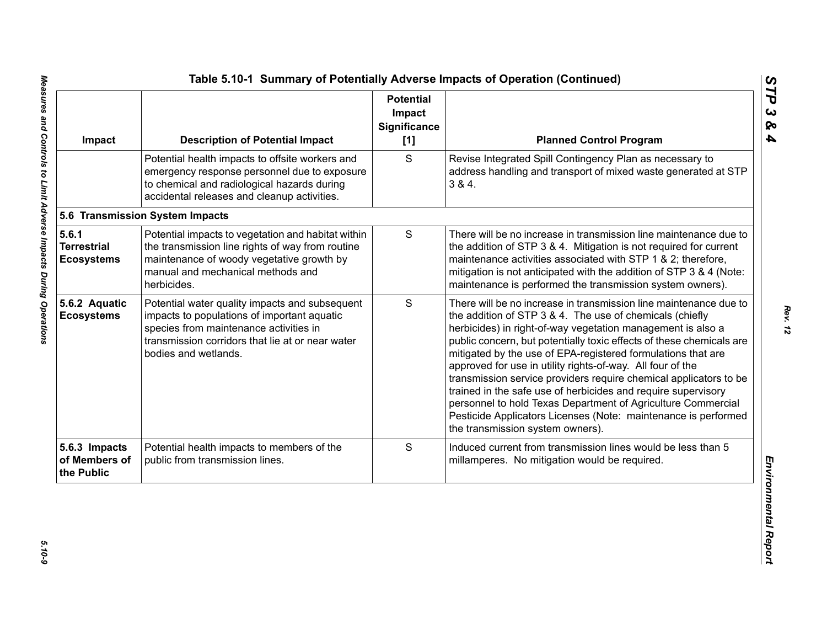| Impact                                           | <b>Description of Potential Impact</b>                                                                                                                                                                              | <b>Potential</b><br>Impact<br><b>Significance</b><br>[1] | <b>Planned Control Program</b>                                                                                                                                                                                                                                                                                                                                                                                                                                                                                                                                                                                                                                                                                 |
|--------------------------------------------------|---------------------------------------------------------------------------------------------------------------------------------------------------------------------------------------------------------------------|----------------------------------------------------------|----------------------------------------------------------------------------------------------------------------------------------------------------------------------------------------------------------------------------------------------------------------------------------------------------------------------------------------------------------------------------------------------------------------------------------------------------------------------------------------------------------------------------------------------------------------------------------------------------------------------------------------------------------------------------------------------------------------|
|                                                  | Potential health impacts to offsite workers and<br>emergency response personnel due to exposure<br>to chemical and radiological hazards during<br>accidental releases and cleanup activities.                       | S                                                        | Revise Integrated Spill Contingency Plan as necessary to<br>address handling and transport of mixed waste generated at STP<br>384.                                                                                                                                                                                                                                                                                                                                                                                                                                                                                                                                                                             |
|                                                  | 5.6 Transmission System Impacts                                                                                                                                                                                     |                                                          |                                                                                                                                                                                                                                                                                                                                                                                                                                                                                                                                                                                                                                                                                                                |
| 5.6.1<br><b>Terrestrial</b><br><b>Ecosystems</b> | Potential impacts to vegetation and habitat within<br>the transmission line rights of way from routine<br>maintenance of woody vegetative growth by<br>manual and mechanical methods and<br>herbicides.             | $\mathsf S$                                              | There will be no increase in transmission line maintenance due to<br>the addition of STP 3 & 4. Mitigation is not required for current<br>maintenance activities associated with STP 1 & 2; therefore,<br>mitigation is not anticipated with the addition of STP 3 & 4 (Note:<br>maintenance is performed the transmission system owners).                                                                                                                                                                                                                                                                                                                                                                     |
| 5.6.2 Aquatic<br><b>Ecosystems</b>               | Potential water quality impacts and subsequent<br>impacts to populations of important aquatic<br>species from maintenance activities in<br>transmission corridors that lie at or near water<br>bodies and wetlands. | S                                                        | There will be no increase in transmission line maintenance due to<br>the addition of STP 3 & 4. The use of chemicals (chiefly<br>herbicides) in right-of-way vegetation management is also a<br>public concern, but potentially toxic effects of these chemicals are<br>mitigated by the use of EPA-registered formulations that are<br>approved for use in utility rights-of-way. All four of the<br>transmission service providers require chemical applicators to be<br>trained in the safe use of herbicides and require supervisory<br>personnel to hold Texas Department of Agriculture Commercial<br>Pesticide Applicators Licenses (Note: maintenance is performed<br>the transmission system owners). |
| 5.6.3 Impacts<br>of Members of<br>the Public     | Potential health impacts to members of the<br>public from transmission lines.                                                                                                                                       | S                                                        | Induced current from transmission lines would be less than 5<br>millamperes. No mitigation would be required.                                                                                                                                                                                                                                                                                                                                                                                                                                                                                                                                                                                                  |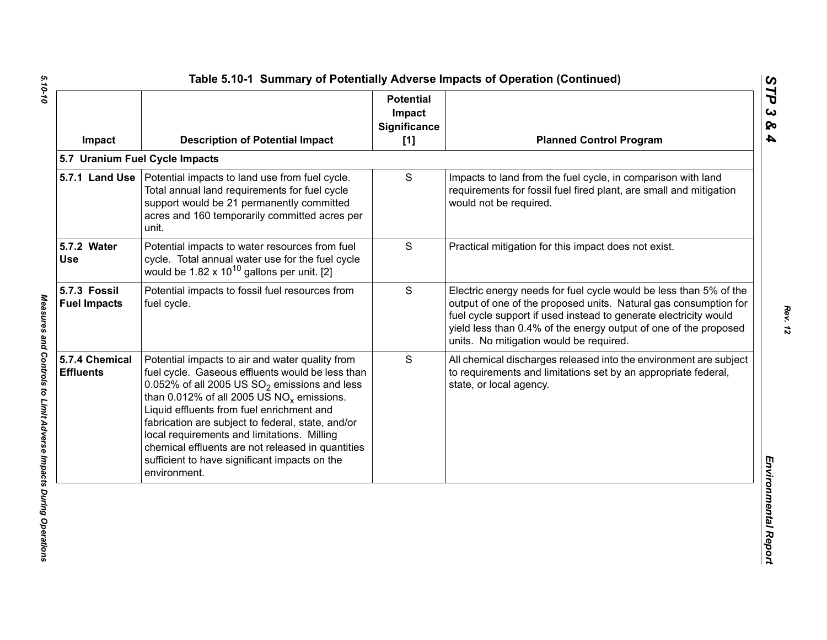| Impact                              | <b>Description of Potential Impact</b>                                                                                                                                                                                                                                                                                                                                                                                                                                        | <b>Potential</b><br>Impact<br><b>Significance</b><br>[1] | <b>Planned Control Program</b>                                                                                                                                                                                                                                                                                           |
|-------------------------------------|-------------------------------------------------------------------------------------------------------------------------------------------------------------------------------------------------------------------------------------------------------------------------------------------------------------------------------------------------------------------------------------------------------------------------------------------------------------------------------|----------------------------------------------------------|--------------------------------------------------------------------------------------------------------------------------------------------------------------------------------------------------------------------------------------------------------------------------------------------------------------------------|
|                                     | 5.7 Uranium Fuel Cycle Impacts                                                                                                                                                                                                                                                                                                                                                                                                                                                |                                                          |                                                                                                                                                                                                                                                                                                                          |
|                                     | 5.7.1 Land Use   Potential impacts to land use from fuel cycle.<br>Total annual land requirements for fuel cycle<br>support would be 21 permanently committed<br>acres and 160 temporarily committed acres per<br>unit.                                                                                                                                                                                                                                                       | S                                                        | Impacts to land from the fuel cycle, in comparison with land<br>requirements for fossil fuel fired plant, are small and mitigation<br>would not be required.                                                                                                                                                             |
| 5.7.2 Water<br><b>Use</b>           | Potential impacts to water resources from fuel<br>cycle. Total annual water use for the fuel cycle<br>would be $1.82 \times 10^{10}$ gallons per unit. [2]                                                                                                                                                                                                                                                                                                                    | S                                                        | Practical mitigation for this impact does not exist.                                                                                                                                                                                                                                                                     |
| 5.7.3 Fossil<br><b>Fuel Impacts</b> | Potential impacts to fossil fuel resources from<br>fuel cycle.                                                                                                                                                                                                                                                                                                                                                                                                                | S                                                        | Electric energy needs for fuel cycle would be less than 5% of the<br>output of one of the proposed units. Natural gas consumption for<br>fuel cycle support if used instead to generate electricity would<br>yield less than 0.4% of the energy output of one of the proposed<br>units. No mitigation would be required. |
| 5.7.4 Chemical<br><b>Effluents</b>  | Potential impacts to air and water quality from<br>fuel cycle. Gaseous effluents would be less than<br>0.052% of all 2005 US $SO_2$ emissions and less<br>than 0.012% of all 2005 US $NO_x$ emissions.<br>Liquid effluents from fuel enrichment and<br>fabrication are subject to federal, state, and/or<br>local requirements and limitations. Milling<br>chemical effluents are not released in quantities<br>sufficient to have significant impacts on the<br>environment. | S                                                        | All chemical discharges released into the environment are subject<br>to requirements and limitations set by an appropriate federal,<br>state, or local agency.                                                                                                                                                           |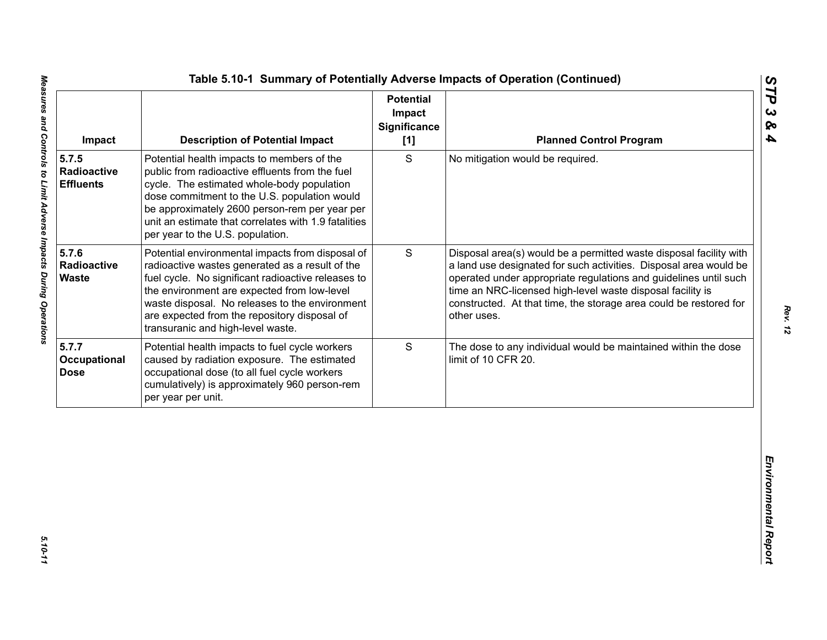| S<br>Potential health impacts to members of the<br>No mitigation would be required.<br>public from radioactive effluents from the fuel<br>Radioactive<br>cycle. The estimated whole-body population<br><b>Effluents</b><br>dose commitment to the U.S. population would<br>be approximately 2600 person-rem per year per<br>unit an estimate that correlates with 1.9 fatalities<br>per year to the U.S. population.<br>5.7.6<br>S<br>Potential environmental impacts from disposal of<br>Radioactive<br>radioactive wastes generated as a result of the<br><b>Waste</b><br>fuel cycle. No significant radioactive releases to<br>time an NRC-licensed high-level waste disposal facility is<br>the environment are expected from low-level<br>waste disposal. No releases to the environment<br>are expected from the repository disposal of<br>other uses.<br>transuranic and high-level waste.<br>S<br>Potential health impacts to fuel cycle workers<br>caused by radiation exposure. The estimated<br>limit of 10 CFR 20.<br>occupational dose (to all fuel cycle workers<br>cumulatively) is approximately 960 person-rem | Impact | <b>Description of Potential Impact</b> | <b>Potential</b><br>Impact<br><b>Significance</b><br>[1] | <b>Planned Control Program</b>                                                                                                                                                                                                                                                   |
|---------------------------------------------------------------------------------------------------------------------------------------------------------------------------------------------------------------------------------------------------------------------------------------------------------------------------------------------------------------------------------------------------------------------------------------------------------------------------------------------------------------------------------------------------------------------------------------------------------------------------------------------------------------------------------------------------------------------------------------------------------------------------------------------------------------------------------------------------------------------------------------------------------------------------------------------------------------------------------------------------------------------------------------------------------------------------------------------------------------------------------|--------|----------------------------------------|----------------------------------------------------------|----------------------------------------------------------------------------------------------------------------------------------------------------------------------------------------------------------------------------------------------------------------------------------|
|                                                                                                                                                                                                                                                                                                                                                                                                                                                                                                                                                                                                                                                                                                                                                                                                                                                                                                                                                                                                                                                                                                                                 | 5.7.5  |                                        |                                                          |                                                                                                                                                                                                                                                                                  |
| 5.7.7<br>Occupational<br><b>Dose</b>                                                                                                                                                                                                                                                                                                                                                                                                                                                                                                                                                                                                                                                                                                                                                                                                                                                                                                                                                                                                                                                                                            |        |                                        |                                                          | Disposal area(s) would be a permitted waste disposal facility with<br>a land use designated for such activities. Disposal area would be<br>operated under appropriate regulations and guidelines until such<br>constructed. At that time, the storage area could be restored for |
| per year per unit.                                                                                                                                                                                                                                                                                                                                                                                                                                                                                                                                                                                                                                                                                                                                                                                                                                                                                                                                                                                                                                                                                                              |        |                                        |                                                          | The dose to any individual would be maintained within the dose                                                                                                                                                                                                                   |
|                                                                                                                                                                                                                                                                                                                                                                                                                                                                                                                                                                                                                                                                                                                                                                                                                                                                                                                                                                                                                                                                                                                                 |        |                                        |                                                          |                                                                                                                                                                                                                                                                                  |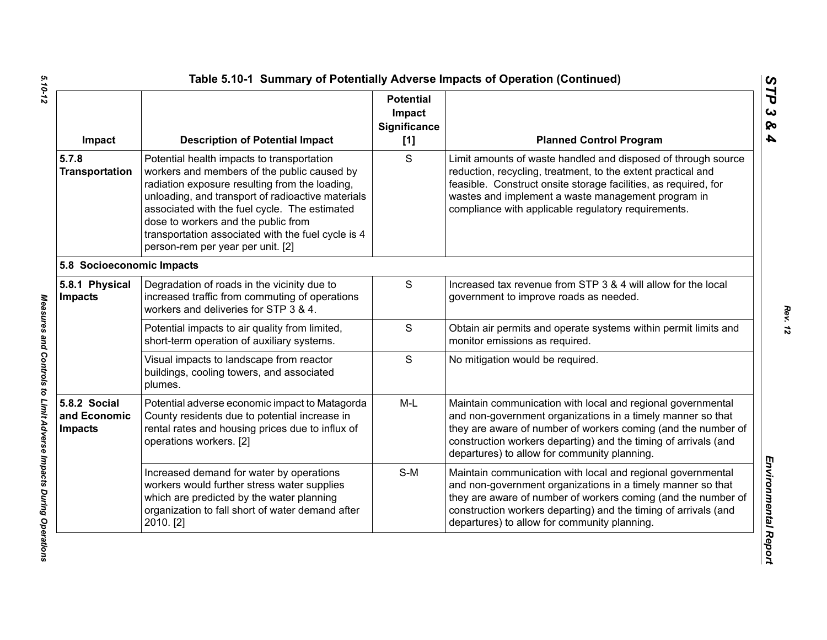| Impact                                         | <b>Description of Potential Impact</b>                                                                                                                                                                                                                                                                                                                                              | <b>Potential</b><br>Impact<br><b>Significance</b><br>[1] | <b>Planned Control Program</b>                                                                                                                                                                                                                                                                                 |
|------------------------------------------------|-------------------------------------------------------------------------------------------------------------------------------------------------------------------------------------------------------------------------------------------------------------------------------------------------------------------------------------------------------------------------------------|----------------------------------------------------------|----------------------------------------------------------------------------------------------------------------------------------------------------------------------------------------------------------------------------------------------------------------------------------------------------------------|
| 5.7.8<br><b>Transportation</b>                 | Potential health impacts to transportation<br>workers and members of the public caused by<br>radiation exposure resulting from the loading,<br>unloading, and transport of radioactive materials<br>associated with the fuel cycle. The estimated<br>dose to workers and the public from<br>transportation associated with the fuel cycle is 4<br>person-rem per year per unit. [2] | S                                                        | Limit amounts of waste handled and disposed of through source<br>reduction, recycling, treatment, to the extent practical and<br>feasible. Construct onsite storage facilities, as required, for<br>wastes and implement a waste management program in<br>compliance with applicable regulatory requirements.  |
| 5.8 Socioeconomic Impacts                      |                                                                                                                                                                                                                                                                                                                                                                                     |                                                          |                                                                                                                                                                                                                                                                                                                |
| 5.8.1 Physical<br><b>Impacts</b>               | Degradation of roads in the vicinity due to<br>increased traffic from commuting of operations<br>workers and deliveries for STP 3 & 4.                                                                                                                                                                                                                                              | ${\mathsf S}$                                            | Increased tax revenue from STP 3 & 4 will allow for the local<br>government to improve roads as needed.                                                                                                                                                                                                        |
|                                                | Potential impacts to air quality from limited,<br>short-term operation of auxiliary systems.                                                                                                                                                                                                                                                                                        | $\mathsf{S}$                                             | Obtain air permits and operate systems within permit limits and<br>monitor emissions as required.                                                                                                                                                                                                              |
|                                                | Visual impacts to landscape from reactor<br>buildings, cooling towers, and associated<br>plumes.                                                                                                                                                                                                                                                                                    | S                                                        | No mitigation would be required.                                                                                                                                                                                                                                                                               |
| 5.8.2 Social<br>and Economic<br><b>Impacts</b> | Potential adverse economic impact to Matagorda<br>County residents due to potential increase in<br>rental rates and housing prices due to influx of<br>operations workers. [2]                                                                                                                                                                                                      | $M-L$                                                    | Maintain communication with local and regional governmental<br>and non-government organizations in a timely manner so that<br>they are aware of number of workers coming (and the number of<br>construction workers departing) and the timing of arrivals (and<br>departures) to allow for community planning. |
|                                                | Increased demand for water by operations<br>workers would further stress water supplies<br>which are predicted by the water planning<br>organization to fall short of water demand after<br>2010. [2]                                                                                                                                                                               | $S-M$                                                    | Maintain communication with local and regional governmental<br>and non-government organizations in a timely manner so that<br>they are aware of number of workers coming (and the number of<br>construction workers departing) and the timing of arrivals (and<br>departures) to allow for community planning. |

Measures and Controls to Limit Adverse Impacts During Operations

*STP 3 & 4*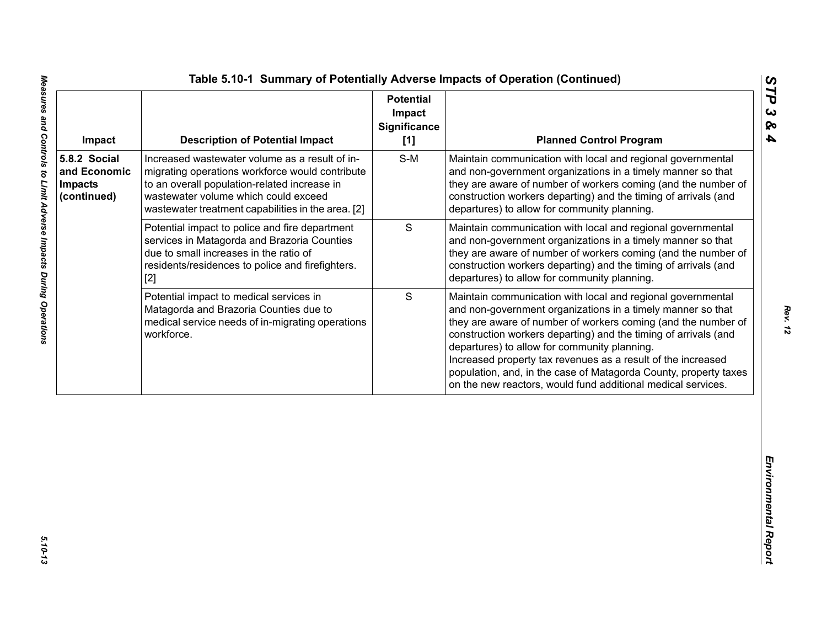| Impact                                                        | <b>Description of Potential Impact</b>                                                                                                                                                                                                          | <b>Potential</b><br>Impact<br><b>Significance</b><br>[1] | <b>Planned Control Program</b>                                                                                                                                                                                                                                                                                                                                                                                                                                                                                     |
|---------------------------------------------------------------|-------------------------------------------------------------------------------------------------------------------------------------------------------------------------------------------------------------------------------------------------|----------------------------------------------------------|--------------------------------------------------------------------------------------------------------------------------------------------------------------------------------------------------------------------------------------------------------------------------------------------------------------------------------------------------------------------------------------------------------------------------------------------------------------------------------------------------------------------|
| 5.8.2 Social<br>and Economic<br><b>Impacts</b><br>(continued) | Increased wastewater volume as a result of in-<br>migrating operations workforce would contribute<br>to an overall population-related increase in<br>wastewater volume which could exceed<br>wastewater treatment capabilities in the area. [2] | $S-M$                                                    | Maintain communication with local and regional governmental<br>and non-government organizations in a timely manner so that<br>they are aware of number of workers coming (and the number of<br>construction workers departing) and the timing of arrivals (and<br>departures) to allow for community planning.                                                                                                                                                                                                     |
|                                                               | Potential impact to police and fire department<br>services in Matagorda and Brazoria Counties<br>due to small increases in the ratio of<br>residents/residences to police and firefighters.<br>$[2]$                                            | $\mathbf S$                                              | Maintain communication with local and regional governmental<br>and non-government organizations in a timely manner so that<br>they are aware of number of workers coming (and the number of<br>construction workers departing) and the timing of arrivals (and<br>departures) to allow for community planning.                                                                                                                                                                                                     |
|                                                               | Potential impact to medical services in<br>Matagorda and Brazoria Counties due to<br>medical service needs of in-migrating operations<br>workforce.                                                                                             | S                                                        | Maintain communication with local and regional governmental<br>and non-government organizations in a timely manner so that<br>they are aware of number of workers coming (and the number of<br>construction workers departing) and the timing of arrivals (and<br>departures) to allow for community planning.<br>Increased property tax revenues as a result of the increased<br>population, and, in the case of Matagorda County, property taxes<br>on the new reactors, would fund additional medical services. |
|                                                               |                                                                                                                                                                                                                                                 |                                                          |                                                                                                                                                                                                                                                                                                                                                                                                                                                                                                                    |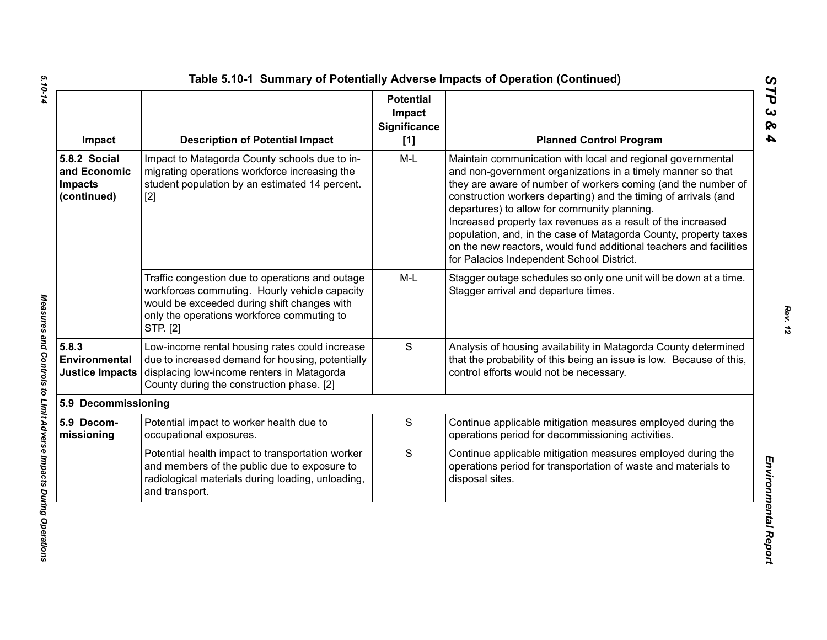| Impact                                                        | <b>Description of Potential Impact</b>                                                                                                                                                                    | <b>Potential</b><br>Impact<br><b>Significance</b><br>[1] | <b>Planned Control Program</b>                                                                                                                                                                                                                                                                                                                                                                                                                                                                                                                                        |
|---------------------------------------------------------------|-----------------------------------------------------------------------------------------------------------------------------------------------------------------------------------------------------------|----------------------------------------------------------|-----------------------------------------------------------------------------------------------------------------------------------------------------------------------------------------------------------------------------------------------------------------------------------------------------------------------------------------------------------------------------------------------------------------------------------------------------------------------------------------------------------------------------------------------------------------------|
| 5.8.2 Social<br>and Economic<br><b>Impacts</b><br>(continued) | Impact to Matagorda County schools due to in-<br>migrating operations workforce increasing the<br>student population by an estimated 14 percent.<br>$[2]$                                                 | $M-L$                                                    | Maintain communication with local and regional governmental<br>and non-government organizations in a timely manner so that<br>they are aware of number of workers coming (and the number of<br>construction workers departing) and the timing of arrivals (and<br>departures) to allow for community planning.<br>Increased property tax revenues as a result of the increased<br>population, and, in the case of Matagorda County, property taxes<br>on the new reactors, would fund additional teachers and facilities<br>for Palacios Independent School District. |
|                                                               | Traffic congestion due to operations and outage<br>workforces commuting. Hourly vehicle capacity<br>would be exceeded during shift changes with<br>only the operations workforce commuting to<br>STP. [2] | $M-L$                                                    | Stagger outage schedules so only one unit will be down at a time.<br>Stagger arrival and departure times.                                                                                                                                                                                                                                                                                                                                                                                                                                                             |
| 5.8.3<br>Environmental<br><b>Justice Impacts</b>              | Low-income rental housing rates could increase<br>due to increased demand for housing, potentially<br>displacing low-income renters in Matagorda<br>County during the construction phase. [2]             | S                                                        | Analysis of housing availability in Matagorda County determined<br>that the probability of this being an issue is low. Because of this,<br>control efforts would not be necessary.                                                                                                                                                                                                                                                                                                                                                                                    |
| 5.9 Decommissioning                                           |                                                                                                                                                                                                           |                                                          |                                                                                                                                                                                                                                                                                                                                                                                                                                                                                                                                                                       |
| 5.9 Decom-<br>missioning                                      | Potential impact to worker health due to<br>occupational exposures.                                                                                                                                       | $\mathbf S$                                              | Continue applicable mitigation measures employed during the<br>operations period for decommissioning activities.                                                                                                                                                                                                                                                                                                                                                                                                                                                      |
|                                                               | Potential health impact to transportation worker<br>and members of the public due to exposure to<br>radiological materials during loading, unloading,<br>and transport.                                   | $\mathbf S$                                              | Continue applicable mitigation measures employed during the<br>operations period for transportation of waste and materials to<br>disposal sites.                                                                                                                                                                                                                                                                                                                                                                                                                      |

5.10-14 *5.10-14 Measures and Controls to Limit Adverse Impacts During Operations* 

Measures and Controls to Limit Adverse Impacts During Operations

*Rev. 12*